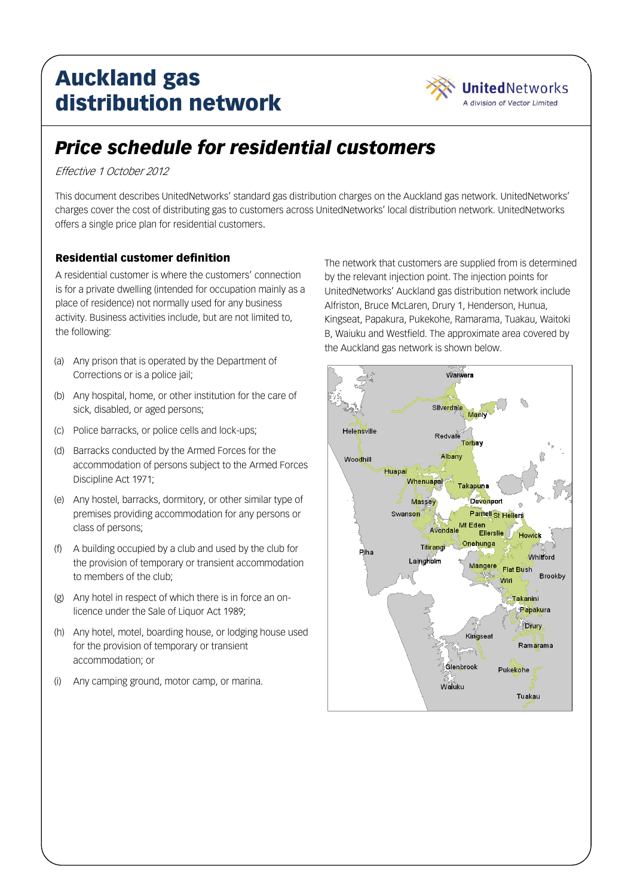# Auckland gas distribution network



# *Price schedule for residential customers*

#### Effective 1 October 2012

This document describes UnitedNetworks' standard gas distribution charges on the Auckland gas network. UnitedNetworks' charges cover the cost of distributing gas to customers across UnitedNetworks' local distribution network. UnitedNetworks offers a single price plan for residential customers.

#### Residential customer definition

A residential customer is where the customers' connection is for a private dwelling (intended for occupation mainly as a place of residence) not normally used for any business activity. Business activities include, but are not limited to, the following:

- (a) Any prison that is operated by the Department of Corrections or is a police jail;
- (b) Any hospital, home, or other institution for the care of sick, disabled, or aged persons;
- (c) Police barracks, or police cells and lock-ups;
- (d) Barracks conducted by the Armed Forces for the accommodation of persons subject to the Armed Forces Discipline Act 1971;
- (e) Any hostel, barracks, dormitory, or other similar type of premises providing accommodation for any persons or class of persons;
- (f) A building occupied by a club and used by the club for the provision of temporary or transient accommodation to members of the club;
- (g) Any hotel in respect of which there is in force an onlicence under the Sale of Liquor Act 1989;
- (h) Any hotel, motel, boarding house, or lodging house used for the provision of temporary or transient accommodation; or
- (i) Any camping ground, motor camp, or marina.

The network that customers are supplied from is determined by the relevant injection point. The injection points for UnitedNetworks' Auckland gas distribution network include Alfriston, Bruce McLaren, Drury 1, Henderson, Hunua, Kingseat, Papakura, Pukekohe, Ramarama, Tuakau, Waitoki B, Waiuku and Westfield. The approximate area covered by the Auckland gas network is shown below.

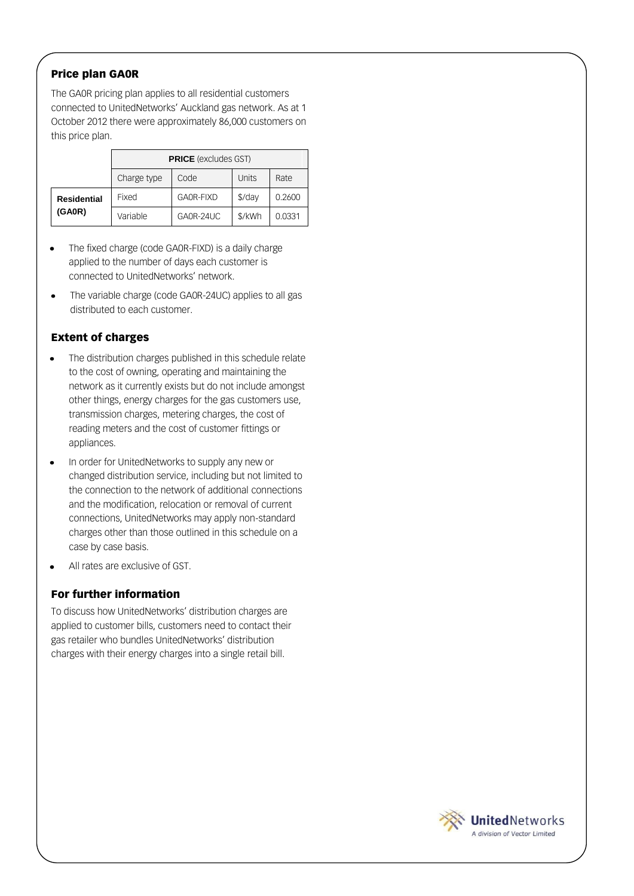#### Price plan GA0R

The GA0R pricing plan applies to all residential customers connected to UnitedNetworks' Auckland gas network. As at 1 October 2012 there were approximately 86,000 customers on this price plan.

|                              | <b>PRICE</b> (excludes GST) |           |          |        |
|------------------------------|-----------------------------|-----------|----------|--------|
|                              | Charge type                 | Code      | Units    | Rate   |
| <b>Residential</b><br>(GA0R) | Fixed                       | GAOR-FIXD | $$$ /day | 0.2600 |
|                              | Variable                    | GAOR-24UC | \$/kWh   | 0.0331 |

- The fixed charge (code GA0R-FIXD) is a daily charge applied to the number of days each customer is connected to UnitedNetworks' network.
- The variable charge (code GA0R-24UC) applies to all gas distributed to each customer.

#### Extent of charges

- The distribution charges published in this schedule relate to the cost of owning, operating and maintaining the network as it currently exists but do not include amongst other things, energy charges for the gas customers use, transmission charges, metering charges, the cost of reading meters and the cost of customer fittings or appliances.
- In order for UnitedNetworks to supply any new or changed distribution service, including but not limited to the connection to the network of additional connections and the modification, relocation or removal of current connections, UnitedNetworks may apply non-standard charges other than those outlined in this schedule on a case by case basis.
- All rates are exclusive of GST.

#### For further information

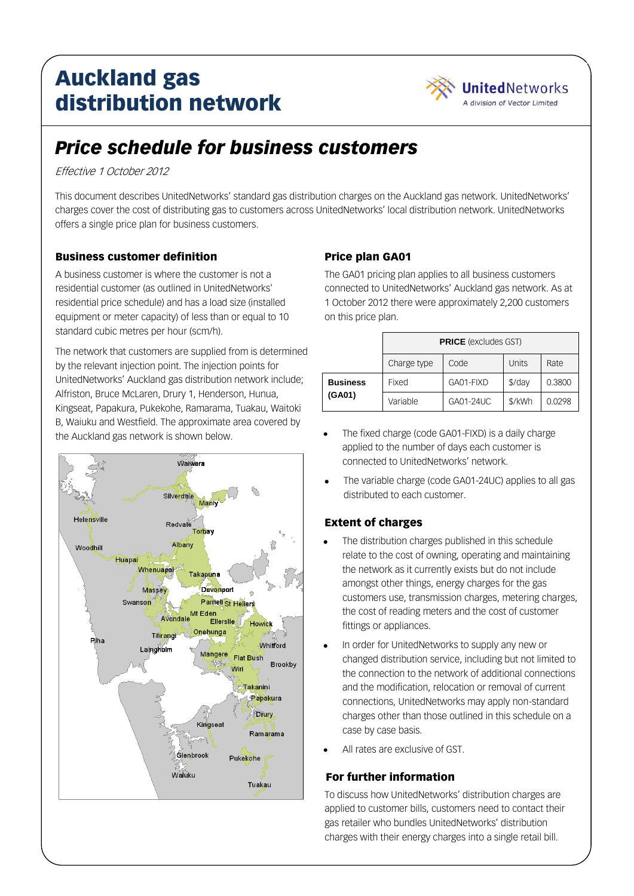# Auckland gas distribution network



# *Price schedule for business customers*

Effective 1 October 2012

This document describes UnitedNetworks' standard gas distribution charges on the Auckland gas network. UnitedNetworks' charges cover the cost of distributing gas to customers across UnitedNetworks' local distribution network. UnitedNetworks offers a single price plan for business customers.

### Business customer definition

A business customer is where the customer is not a residential customer (as outlined in UnitedNetworks' residential price schedule) and has a load size (installed equipment or meter capacity) of less than or equal to 10 standard cubic metres per hour (scm/h).

The network that customers are supplied from is determined by the relevant injection point. The injection points for UnitedNetworks' Auckland gas distribution network include; Alfriston, Bruce McLaren, Drury 1, Henderson, Hunua, Kingseat, Papakura, Pukekohe, Ramarama, Tuakau, Waitoki B, Waiuku and Westfield. The approximate area covered by the Auckland gas network is shown below.



## Price plan GA01

The GA01 pricing plan applies to all business customers connected to UnitedNetworks' Auckland gas network. As at 1 October 2012 there were approximately 2,200 customers on this price plan.

|                           | <b>PRICE</b> (excludes GST) |           |          |        |
|---------------------------|-----------------------------|-----------|----------|--------|
|                           | Charge type                 | Code      | Units    | Rate   |
| <b>Business</b><br>(GA01) | Fixed                       | GA01-FIXD | $$$ /day | 0.3800 |
|                           | Variable                    | GA01-24UC | \$/kWh   | 0.0298 |

- The fixed charge (code GA01-FIXD) is a daily charge applied to the number of days each customer is connected to UnitedNetworks' network.
- The variable charge (code GA01-24UC) applies to all gas distributed to each customer.

## Extent of charges

- The distribution charges published in this schedule relate to the cost of owning, operating and maintaining the network as it currently exists but do not include amongst other things, energy charges for the gas customers use, transmission charges, metering charges, the cost of reading meters and the cost of customer fittings or appliances.
- In order for UnitedNetworks to supply any new or changed distribution service, including but not limited to the connection to the network of additional connections and the modification, relocation or removal of current connections, UnitedNetworks may apply non-standard charges other than those outlined in this schedule on a case by case basis.
- All rates are exclusive of GST.

## <sup>4</sup>For further information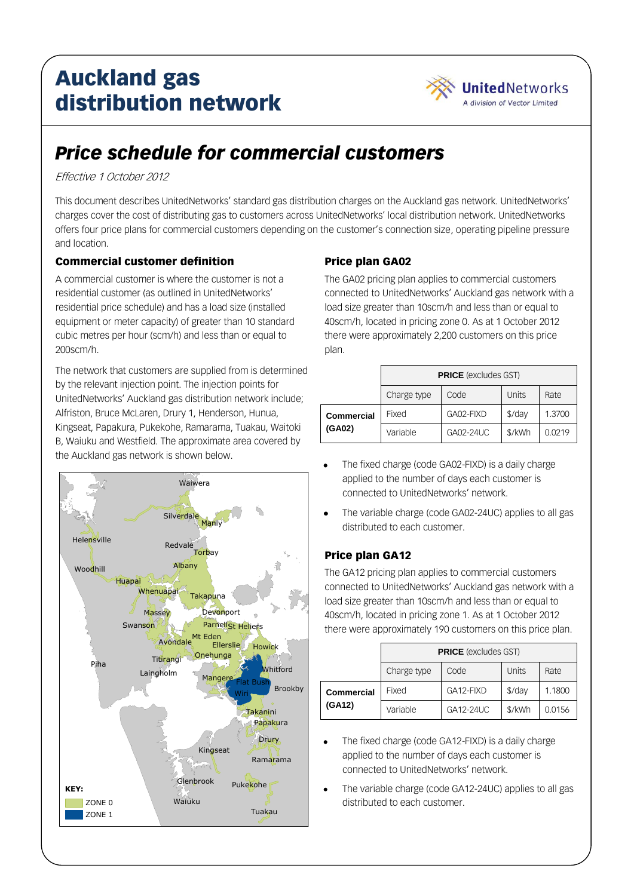# Auckland gas distribution network



# *Price schedule for commercial customers*

Effective 1 October 2012

This document describes UnitedNetworks' standard gas distribution charges on the Auckland gas network. UnitedNetworks' charges cover the cost of distributing gas to customers across UnitedNetworks' local distribution network. UnitedNetworks offers four price plans for commercial customers depending on the customer's connection size, operating pipeline pressure and location.

#### Commercial customer definition

A commercial customer is where the customer is not a residential customer (as outlined in UnitedNetworks' residential price schedule) and has a load size (installed equipment or meter capacity) of greater than 10 standard cubic metres per hour (scm/h) and less than or equal to 200scm/h.

The network that customers are supplied from is determined by the relevant injection point. The injection points for UnitedNetworks' Auckland gas distribution network include; Alfriston, Bruce McLaren, Drury 1, Henderson, Hunua, Kingseat, Papakura, Pukekohe, Ramarama, Tuakau, Waitoki B, Waiuku and Westfield. The approximate area covered by the Auckland gas network is shown below.



#### Price plan GA02

The GA02 pricing plan applies to commercial customers connected to UnitedNetworks' Auckland gas network with a load size greater than 10scm/h and less than or equal to 40scm/h, located in pricing zone 0. As at 1 October 2012 there were approximately 2,200 customers on this price plan.

|                             | <b>PRICE</b> (excludes GST) |           |        |        |
|-----------------------------|-----------------------------|-----------|--------|--------|
|                             | Charge type                 | Code      | Units  | Rate   |
| <b>Commercial</b><br>(GA02) | Fixed                       | GA02-FIXD | \$/day | 1.3700 |
|                             | Variable                    | GA02-24UC | \$/kWh | 0 0219 |

- The fixed charge (code GA02-FIXD) is a daily charge applied to the number of days each customer is connected to UnitedNetworks' network.
- The variable charge (code GA02-24UC) applies to all gas distributed to each customer.

#### Price plan GA12

The GA12 pricing plan applies to commercial customers connected to UnitedNetworks' Auckland gas network with a load size greater than 10scm/h and less than or equal to 40scm/h, located in pricing zone 1. As at 1 October 2012 there were approximately 190 customers on this price plan.

|                             | <b>PRICE</b> (excludes GST) |           |        |        |
|-----------------------------|-----------------------------|-----------|--------|--------|
|                             | Charge type                 | Code      | Units  | Rate   |
| <b>Commercial</b><br>(GA12) | Fixed                       | GA12-FIXD | \$/day | 1.1800 |
|                             | Variable                    | GA12-24UC | \$/kWh | 0.0156 |

- The fixed charge (code GA12-FIXD) is a daily charge applied to the number of days each customer is connected to UnitedNetworks' network.
- The variable charge (code GA12-24UC) applies to all gas distributed to each customer.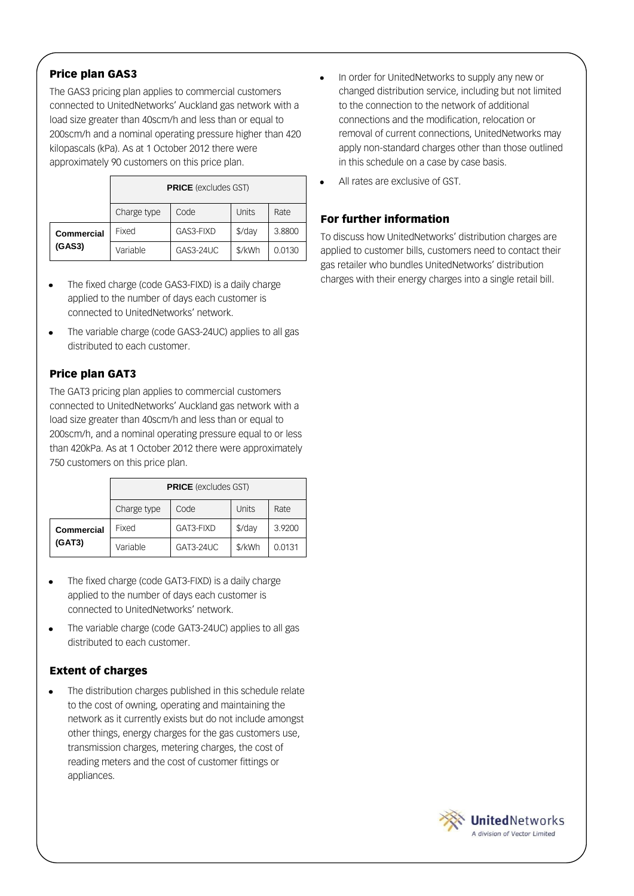# Price plan GAS3

The GAS3 pricing plan applies to commercial customers connected to UnitedNetworks' Auckland gas network with a load size greater than 40scm/h and less than or equal to 200scm/h and a nominal operating pressure higher than 420 kilopascals (kPa). As at 1 October 2012 there were approximately 90 customers on this price plan.

|                   | <b>PRICE</b> (excludes GST) |                  |          |        |
|-------------------|-----------------------------|------------------|----------|--------|
|                   | Charge type                 | Code             | Units    | Rate   |
| <b>Commercial</b> | Fixed                       | GAS3-FIXD        | $$$ /day | 3.8800 |
| (GAS3)            | Variable                    | <b>GAS3-24UC</b> | \$/kWh   | 0.0130 |

- The fixed charge (code GAS3-FIXD) is a daily charge applied to the number of days each customer is connected to UnitedNetworks' network.
- The variable charge (code GAS3-24UC) applies to all gas distributed to each customer.

### Price plan GAT3

The GAT3 pricing plan applies to commercial customers connected to UnitedNetworks' Auckland gas network with a load size greater than 40scm/h and less than or equal to 200scm/h, and a nominal operating pressure equal to or less than 420kPa. As at 1 October 2012 there were approximately 750 customers on this price plan.

|                             | <b>PRICE</b> (excludes GST) |           |        |        |
|-----------------------------|-----------------------------|-----------|--------|--------|
|                             | Charge type                 | Code      | Units  | Rate   |
| <b>Commercial</b><br>(GAT3) | Fixed                       | GAT3-FIXD | \$/day | 3.9200 |
|                             | Variable                    | GAT3-24UC | \$/kWh | 0.0131 |

- The fixed charge (code GAT3-FIXD) is a daily charge applied to the number of days each customer is connected to UnitedNetworks' network.
- The variable charge (code GAT3-24UC) applies to all gas  $\bullet$ distributed to each customer.

#### Extent of charges

The distribution charges published in this schedule relate to the cost of owning, operating and maintaining the network as it currently exists but do not include amongst other things, energy charges for the gas customers use, transmission charges, metering charges, the cost of reading meters and the cost of customer fittings or appliances.

- In order for UnitedNetworks to supply any new or changed distribution service, including but not limited to the connection to the network of additional connections and the modification, relocation or removal of current connections, UnitedNetworks may apply non-standard charges other than those outlined in this schedule on a case by case basis.
- All rates are exclusive of GST.

#### For further information

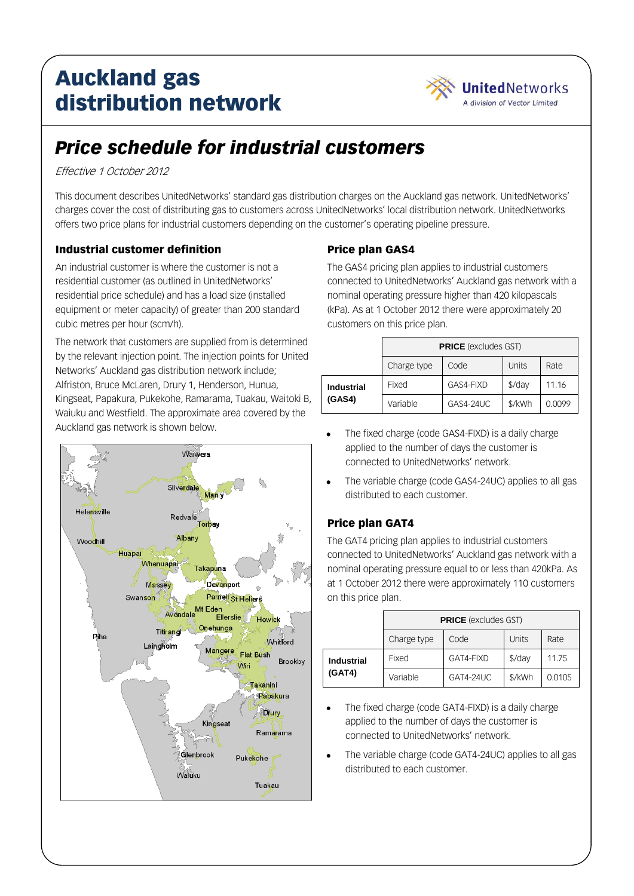# Auckland gas distribution network



# *Price schedule for industrial customers*

#### Effective 1 October 2012

This document describes UnitedNetworks' standard gas distribution charges on the Auckland gas network. UnitedNetworks' charges cover the cost of distributing gas to customers across UnitedNetworks' local distribution network. UnitedNetworks offers two price plans for industrial customers depending on the customer's operating pipeline pressure.

#### Industrial customer definition

An industrial customer is where the customer is not a residential customer (as outlined in UnitedNetworks' residential price schedule) and has a load size (installed equipment or meter capacity) of greater than 200 standard cubic metres per hour (scm/h).

The network that customers are supplied from is determined by the relevant injection point. The injection points for United Networks' Auckland gas distribution network include; Alfriston, Bruce McLaren, Drury 1, Henderson, Hunua, Kingseat, Papakura, Pukekohe, Ramarama, Tuakau, Waitoki B, Waiuku and Westfield. The approximate area covered by the Auckland gas network is shown below.



### Price plan GAS4

The GAS4 pricing plan applies to industrial customers connected to UnitedNetworks' Auckland gas network with a nominal operating pressure higher than 420 kilopascals (kPa). As at 1 October 2012 there were approximately 20 customers on this price plan.

|                             | <b>PRICE</b> (excludes GST) |           |          |        |
|-----------------------------|-----------------------------|-----------|----------|--------|
|                             | Charge type                 | Code      | Units    | Rate   |
| <b>Industrial</b><br>(GAS4) | Fixed                       | GAS4-FIXD | $$$ /day | 11.16  |
|                             | Variable                    | GAS4-24UC | \$/kWh   | 0.0099 |

- The fixed charge (code GAS4-FIXD) is a daily charge applied to the number of days the customer is connected to UnitedNetworks' network.
- The variable charge (code GAS4-24UC) applies to all gas distributed to each customer.

## Price plan GAT4

The GAT4 pricing plan applies to industrial customers connected to UnitedNetworks' Auckland gas network with a nominal operating pressure equal to or less than 420kPa. As at 1 October 2012 there were approximately 110 customers on this price plan.

|                             | <b>PRICE</b> (excludes GST) |                  |          |        |
|-----------------------------|-----------------------------|------------------|----------|--------|
|                             | Charge type                 | Code             | Units    | Rate   |
| <b>Industrial</b><br>(GAT4) | Fixed                       | GAT4-FIXD        | $$$ /day | 11.75  |
|                             | Variable                    | <b>GAT4-24UC</b> | \$/kWh   | 0.0105 |

- The fixed charge (code GAT4-FIXD) is a daily charge applied to the number of days the customer is connected to UnitedNetworks' network.
- The variable charge (code GAT4-24UC) applies to all gas distributed to each customer.